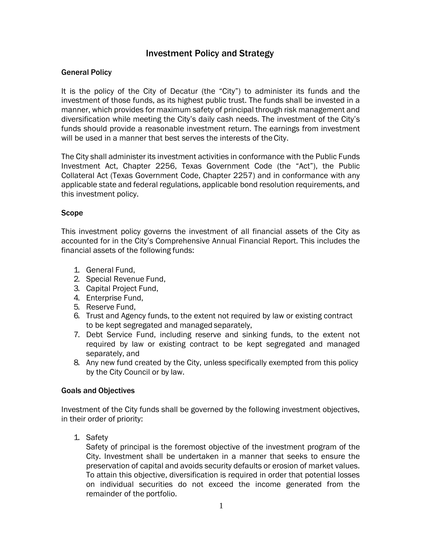### Investment Policy and Strategy

#### General Policy

It is the policy of the City of Decatur (the "City") to administer its funds and the investment of those funds, as its highest public trust. The funds shall be invested in a manner, which provides for maximum safety of principal through risk management and diversification while meeting the City's daily cash needs. The investment of the City's funds should provide a reasonable investment return. The earnings from investment will be used in a manner that best serves the interests of the City.

The City shall administer its investment activities in conformance with the Public Funds Investment Act, Chapter 2256, Texas Government Code (the "Act"), the Public Collateral Act (Texas Government Code, Chapter 2257) and in conformance with any applicable state and federal regulations, applicable bond resolution requirements, and this investment policy.

#### Scope

This investment policy governs the investment of all financial assets of the City as accounted for in the City's Comprehensive Annual Financial Report. This includes the financial assets of the following funds:

- 1. General Fund,
- 2. Special Revenue Fund,
- 3. Capital Project Fund,
- 4. Enterprise Fund,
- 5. Reserve Fund,
- 6. Trust and Agency funds, to the extent not required by law or existing contract to be kept segregated and managed separately,
- 7. Debt Service Fund, including reserve and sinking funds, to the extent not required by law or existing contract to be kept segregated and managed separately, and
- 8. Any new fund created by the City, unless specifically exempted from this policy by the City Council or by law.

#### Goals and Objectives

Investment of the City funds shall be governed by the following investment objectives, in their order of priority:

1. Safety

Safety of principal is the foremost objective of the investment program of the City. Investment shall be undertaken in a manner that seeks to ensure the preservation of capital and avoids security defaults or erosion of market values. To attain this objective, diversification is required in order that potential losses on individual securities do not exceed the income generated from the remainder of the portfolio.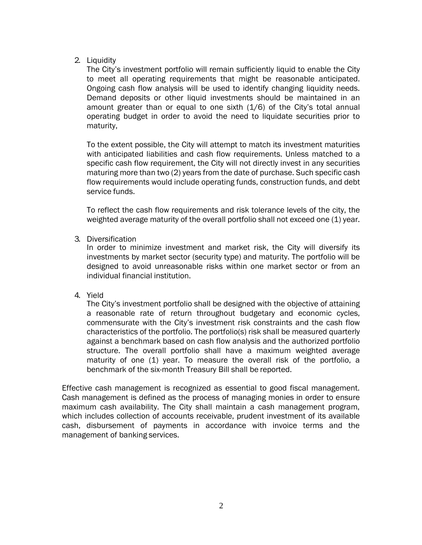#### 2. Liquidity

The City's investment portfolio will remain sufficiently liquid to enable the City to meet all operating requirements that might be reasonable anticipated. Ongoing cash flow analysis will be used to identify changing liquidity needs. Demand deposits or other liquid investments should be maintained in an amount greater than or equal to one sixth (1/6) of the City's total annual operating budget in order to avoid the need to liquidate securities prior to maturity,

To the extent possible, the City will attempt to match its investment maturities with anticipated liabilities and cash flow requirements. Unless matched to a specific cash flow requirement, the City will not directly invest in any securities maturing more than two (2) years from the date of purchase. Such specific cash flow requirements would include operating funds, construction funds, and debt service funds.

To reflect the cash flow requirements and risk tolerance levels of the city, the weighted average maturity of the overall portfolio shall not exceed one (1) year.

#### 3. Diversification

In order to minimize investment and market risk, the City will diversify its investments by market sector (security type) and maturity. The portfolio will be designed to avoid unreasonable risks within one market sector or from an individual financial institution.

4. Yield

The City's investment portfolio shall be designed with the objective of attaining a reasonable rate of return throughout budgetary and economic cycles, commensurate with the City's investment risk constraints and the cash flow characteristics of the portfolio. The portfolio(s) risk shall be measured quarterly against a benchmark based on cash flow analysis and the authorized portfolio structure. The overall portfolio shall have a maximum weighted average maturity of one (1) year. To measure the overall risk of the portfolio, a benchmark of the six-month Treasury Bill shall be reported.

Effective cash management is recognized as essential to good fiscal management. Cash management is defined as the process of managing monies in order to ensure maximum cash availability. The City shall maintain a cash management program, which includes collection of accounts receivable, prudent investment of its available cash, disbursement of payments in accordance with invoice terms and the management of banking services.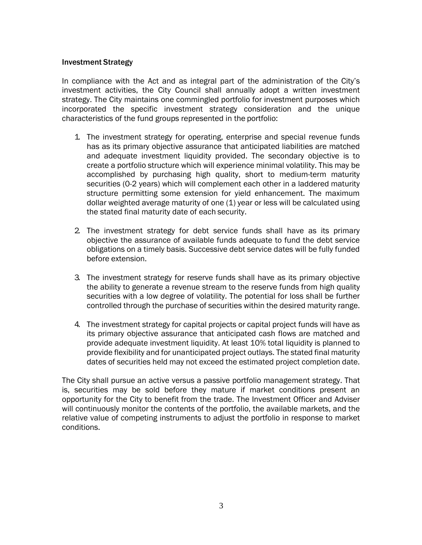#### Investment Strategy

In compliance with the Act and as integral part of the administration of the City's investment activities, the City Council shall annually adopt a written investment strategy. The City maintains one commingled portfolio for investment purposes which incorporated the specific investment strategy consideration and the unique characteristics of the fund groups represented in the portfolio:

- 1. The investment strategy for operating, enterprise and special revenue funds has as its primary objective assurance that anticipated liabilities are matched and adequate investment liquidity provided. The secondary objective is to create a portfolio structure which will experience minimal volatility. This may be accomplished by purchasing high quality, short to medium-term maturity securities (0-2 years) which will complement each other in a laddered maturity structure permitting some extension for yield enhancement. The maximum dollar weighted average maturity of one (1) year or less will be calculated using the stated final maturity date of each security.
- 2. The investment strategy for debt service funds shall have as its primary objective the assurance of available funds adequate to fund the debt service obligations on a timely basis. Successive debt service dates will be fully funded before extension.
- 3. The investment strategy for reserve funds shall have as its primary objective the ability to generate a revenue stream to the reserve funds from high quality securities with a low degree of volatility. The potential for loss shall be further controlled through the purchase of securities within the desired maturity range.
- 4. The investment strategy for capital projects or capital project funds will have as its primary objective assurance that anticipated cash flows are matched and provide adequate investment liquidity. At least 10% total liquidity is planned to provide flexibility and for unanticipated project outlays. The stated final maturity dates of securities held may not exceed the estimated project completion date.

The City shall pursue an active versus a passive portfolio management strategy. That is, securities may be sold before they mature if market conditions present an opportunity for the City to benefit from the trade. The Investment Officer and Adviser will continuously monitor the contents of the portfolio, the available markets, and the relative value of competing instruments to adjust the portfolio in response to market conditions.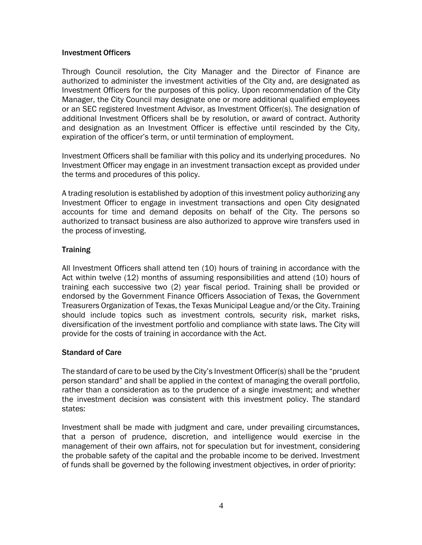#### Investment Officers

Through Council resolution, the City Manager and the Director of Finance are authorized to administer the investment activities of the City and, are designated as Investment Officers for the purposes of this policy. Upon recommendation of the City Manager, the City Council may designate one or more additional qualified employees or an SEC registered Investment Advisor, as Investment Officer(s). The designation of additional Investment Officers shall be by resolution, or award of contract. Authority and designation as an Investment Officer is effective until rescinded by the City, expiration of the officer's term, or until termination of employment.

Investment Officers shall be familiar with this policy and its underlying procedures. No Investment Officer may engage in an investment transaction except as provided under the terms and procedures of this policy.

A trading resolution is established by adoption of this investment policy authorizing any Investment Officer to engage in investment transactions and open City designated accounts for time and demand deposits on behalf of the City. The persons so authorized to transact business are also authorized to approve wire transfers used in the process of investing.

### **Training**

All Investment Officers shall attend ten (10) hours of training in accordance with the Act within twelve (12) months of assuming responsibilities and attend (10) hours of training each successive two (2) year fiscal period. Training shall be provided or endorsed by the Government Finance Officers Association of Texas, the Government Treasurers Organization of Texas, the Texas Municipal League and/or the City. Training should include topics such as investment controls, security risk, market risks, diversification of the investment portfolio and compliance with state laws. The City will provide for the costs of training in accordance with the Act.

### Standard of Care

The standard of care to be used by the City's Investment Officer(s) shall be the "prudent person standard" and shall be applied in the context of managing the overall portfolio, rather than a consideration as to the prudence of a single investment; and whether the investment decision was consistent with this investment policy. The standard states:

Investment shall be made with judgment and care, under prevailing circumstances, that a person of prudence, discretion, and intelligence would exercise in the management of their own affairs, not for speculation but for investment, considering the probable safety of the capital and the probable income to be derived. Investment of funds shall be governed by the following investment objectives, in order of priority: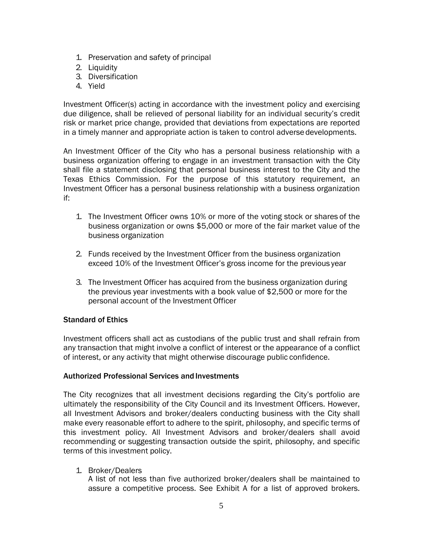- 1. Preservation and safety of principal
- 2. Liquidity
- 3. Diversification
- 4. Yield

Investment Officer(s) acting in accordance with the investment policy and exercising due diligence, shall be relieved of personal liability for an individual security's credit risk or market price change, provided that deviations from expectations are reported in a timely manner and appropriate action is taken to control adverse developments.

An Investment Officer of the City who has a personal business relationship with a business organization offering to engage in an investment transaction with the City shall file a statement disclosing that personal business interest to the City and the Texas Ethics Commission. For the purpose of this statutory requirement, an Investment Officer has a personal business relationship with a business organization if:

- 1. The Investment Officer owns 10% or more of the voting stock or shares of the business organization or owns \$5,000 or more of the fair market value of the business organization
- 2. Funds received by the Investment Officer from the business organization exceed 10% of the Investment Officer's gross income for the previous year
- 3. The Investment Officer has acquired from the business organization during the previous year investments with a book value of \$2,500 or more for the personal account of the Investment Officer

#### Standard of Ethics

Investment officers shall act as custodians of the public trust and shall refrain from any transaction that might involve a conflict of interest or the appearance of a conflict of interest, or any activity that might otherwise discourage public confidence.

#### Authorized Professional Services and Investments

The City recognizes that all investment decisions regarding the City's portfolio are ultimately the responsibility of the City Council and its Investment Officers. However, all Investment Advisors and broker/dealers conducting business with the City shall make every reasonable effort to adhere to the spirit, philosophy, and specific terms of this investment policy. All Investment Advisors and broker/dealers shall avoid recommending or suggesting transaction outside the spirit, philosophy, and specific terms of this investment policy.

#### 1. Broker/Dealers

A list of not less than five authorized broker/dealers shall be maintained to assure a competitive process. See Exhibit A for a list of approved brokers.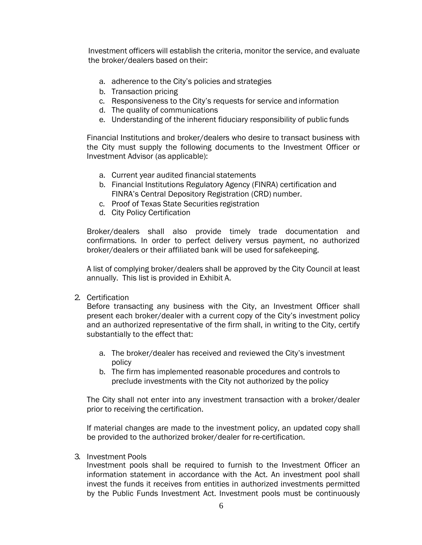Investment officers will establish the criteria, monitor the service, and evaluate the broker/dealers based on their:

- a. adherence to the City's policies and strategies
- b. Transaction pricing
- c. Responsiveness to the City's requests for service and information
- d. The quality of communications
- e. Understanding of the inherent fiduciary responsibility of public funds

Financial Institutions and broker/dealers who desire to transact business with the City must supply the following documents to the Investment Officer or Investment Advisor (as applicable):

- a. Current year audited financial statements
- b. Financial Institutions Regulatory Agency (FINRA) certification and FINRA's Central Depository Registration (CRD) number.
- c. Proof of Texas State Securities registration
- d. City Policy Certification

Broker/dealers shall also provide timely trade documentation and confirmations. In order to perfect delivery versus payment, no authorized broker/dealers or their affiliated bank will be used for safekeeping.

A list of complying broker/dealers shall be approved by the City Council at least annually. This list is provided in Exhibit A.

2. Certification

Before transacting any business with the City, an Investment Officer shall present each broker/dealer with a current copy of the City's investment policy and an authorized representative of the firm shall, in writing to the City, certify substantially to the effect that:

- a. The broker/dealer has received and reviewed the City's investment policy
- b. The firm has implemented reasonable procedures and controls to preclude investments with the City not authorized by the policy

The City shall not enter into any investment transaction with a broker/dealer prior to receiving the certification.

If material changes are made to the investment policy, an updated copy shall be provided to the authorized broker/dealer for re-certification.

3. Investment Pools

Investment pools shall be required to furnish to the Investment Officer an information statement in accordance with the Act. An investment pool shall invest the funds it receives from entities in authorized investments permitted by the Public Funds Investment Act. Investment pools must be continuously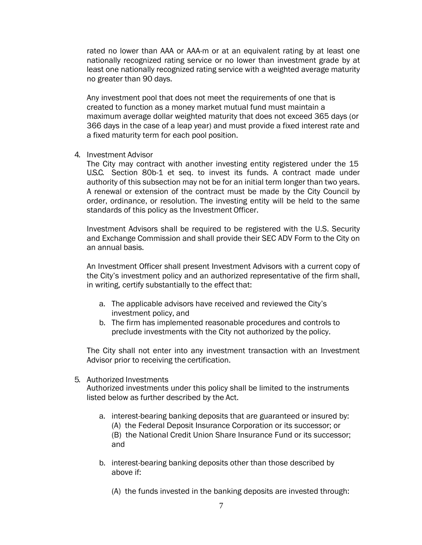rated no lower than AAA or AAA-m or at an equivalent rating by at least one nationally recognized rating service or no lower than investment grade by at least one nationally recognized rating service with a weighted average maturity no greater than 90 days.

Any investment pool that does not meet the requirements of one that is created to function as a money market mutual fund must maintain a maximum average dollar weighted maturity that does not exceed 365 days (or 366 days in the case of a leap year) and must provide a fixed interest rate and a fixed maturity term for each pool position.

4. Investment Advisor

The City may contract with another investing entity registered under the 15 U.S.C. Section 80b-1 et seq. to invest its funds. A contract made under authority of this subsection may not be for an initial term longer than two years. A renewal or extension of the contract must be made by the City Council by order, ordinance, or resolution. The investing entity will be held to the same standards of this policy as the Investment Officer.

Investment Advisors shall be required to be registered with the U.S. Security and Exchange Commission and shall provide their SEC ADV Form to the City on an annual basis.

An Investment Officer shall present Investment Advisors with a current copy of the City's investment policy and an authorized representative of the firm shall, in writing, certify substantially to the effect that:

- a. The applicable advisors have received and reviewed the City's investment policy, and
- b. The firm has implemented reasonable procedures and controls to preclude investments with the City not authorized by the policy.

The City shall not enter into any investment transaction with an Investment Advisor prior to receiving the certification.

5. Authorized Investments

Authorized investments under this policy shall be limited to the instruments listed below as further described by the Act.

- a. interest-bearing banking deposits that are guaranteed or insured by: (A) the Federal Deposit Insurance Corporation or its successor; or (B) the National Credit Union Share Insurance Fund or its successor; and
- b. interest-bearing banking deposits other than those described by above if:
	- (A) the funds invested in the banking deposits are invested through: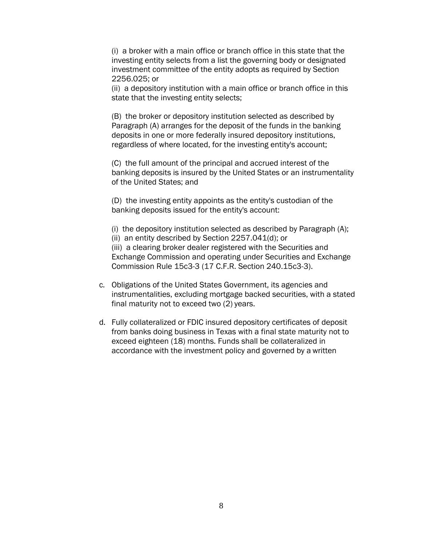(i) a broker with a main office or branch office in this state that the investing entity selects from a list the governing body or designated investment committee of the entity adopts as required by Section 2256.025; or

(ii) a depository institution with a main office or branch office in this state that the investing entity selects;

(B) the broker or depository institution selected as described by Paragraph (A) arranges for the deposit of the funds in the banking deposits in one or more federally insured depository institutions, regardless of where located, for the investing entity's account;

(C) the full amount of the principal and accrued interest of the banking deposits is insured by the United States or an instrumentality of the United States; and

(D) the investing entity appoints as the entity's custodian of the banking deposits issued for the entity's account:

(i) the depository institution selected as described by Paragraph (A); (ii) an entity described by Section 2257.041(d); or (iii) a clearing broker dealer registered with the Securities and Exchange Commission and operating under Securities and Exchange Commission Rule 15c3-3 (17 C.F.R. Section 240.15c3-3).

- c. Obligations of the United States Government, its agencies and instrumentalities, excluding mortgage backed securities, with a stated final maturity not to exceed two (2) years.
- d. Fully collateralized or FDIC insured depository certificates of deposit from banks doing business in Texas with a final state maturity not to exceed eighteen (18) months. Funds shall be collateralized in accordance with the investment policy and governed by a written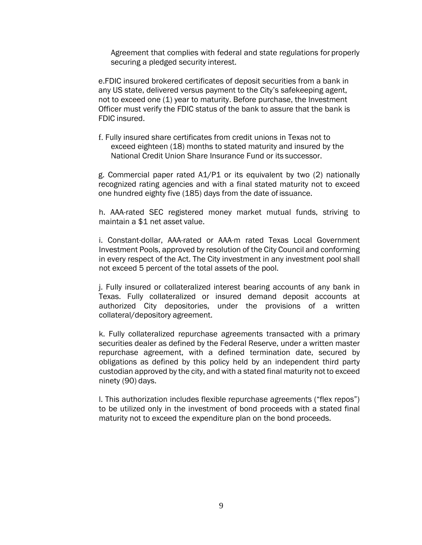Agreement that complies with federal and state regulations for properly securing a pledged security interest.

e.FDIC insured brokered certificates of deposit securities from a bank in any US state, delivered versus payment to the City's safekeeping agent, not to exceed one (1) year to maturity. Before purchase, the Investment Officer must verify the FDIC status of the bank to assure that the bank is FDIC insured.

f. Fully insured share certificates from credit unions in Texas not to exceed eighteen (18) months to stated maturity and insured by the National Credit Union Share Insurance Fund or its successor.

g. Commercial paper rated A1/P1 or its equivalent by two (2) nationally recognized rating agencies and with a final stated maturity not to exceed one hundred eighty five (185) days from the date ofissuance.

h. AAA-rated SEC registered money market mutual funds, striving to maintain a \$1 net asset value.

i. Constant-dollar, AAA-rated or AAA-m rated Texas Local Government Investment Pools, approved by resolution of the City Council and conforming in every respect of the Act. The City investment in any investment pool shall not exceed 5 percent of the total assets of the pool.

j. Fully insured or collateralized interest bearing accounts of any bank in Texas. Fully collateralized or insured demand deposit accounts at authorized City depositories, under the provisions of a written collateral/depository agreement.

k. Fully collateralized repurchase agreements transacted with a primary securities dealer as defined by the Federal Reserve, under a written master repurchase agreement, with a defined termination date, secured by obligations as defined by this policy held by an independent third party custodian approved by the city, and with a stated final maturity not to exceed ninety (90) days.

l. This authorization includes flexible repurchase agreements ("flex repos") to be utilized only in the investment of bond proceeds with a stated final maturity not to exceed the expenditure plan on the bond proceeds.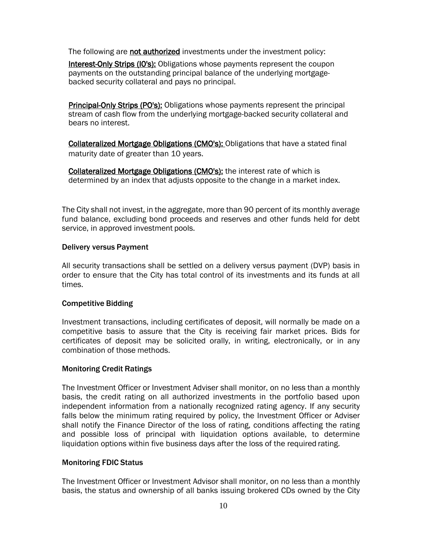The following are not authorized investments under the investment policy:

Interest-Only Strips (IO's): Obligations whose payments represent the coupon payments on the outstanding principal balance of the underlying mortgagebacked security collateral and pays no principal.

Principal-Only Strips (PO's): Obligations whose payments represent the principal stream of cash flow from the underlying mortgage-backed security collateral and bears no interest.

Collateralized Mortgage Obligations (CMO's): Obligations that have a stated final maturity date of greater than 10 years.

Collateralized Mortgage Obligations (CMO's): the interest rate of which is determined by an index that adjusts opposite to the change in a market index.

The City shall not invest, in the aggregate, more than 90 percent of its monthly average fund balance, excluding bond proceeds and reserves and other funds held for debt service, in approved investment pools.

#### Delivery versus Payment

All security transactions shall be settled on a delivery versus payment (DVP) basis in order to ensure that the City has total control of its investments and its funds at all times.

#### Competitive Bidding

Investment transactions, including certificates of deposit, will normally be made on a competitive basis to assure that the City is receiving fair market prices. Bids for certificates of deposit may be solicited orally, in writing, electronically, or in any combination of those methods.

### Monitoring Credit Ratings

The Investment Officer or Investment Adviser shall monitor, on no less than a monthly basis, the credit rating on all authorized investments in the portfolio based upon independent information from a nationally recognized rating agency. If any security falls below the minimum rating required by policy, the Investment Officer or Adviser shall notify the Finance Director of the loss of rating, conditions affecting the rating and possible loss of principal with liquidation options available, to determine liquidation options within five business days after the loss of the required rating.

### Monitoring FDIC Status

The Investment Officer or Investment Advisor shall monitor, on no less than a monthly basis, the status and ownership of all banks issuing brokered CDs owned by the City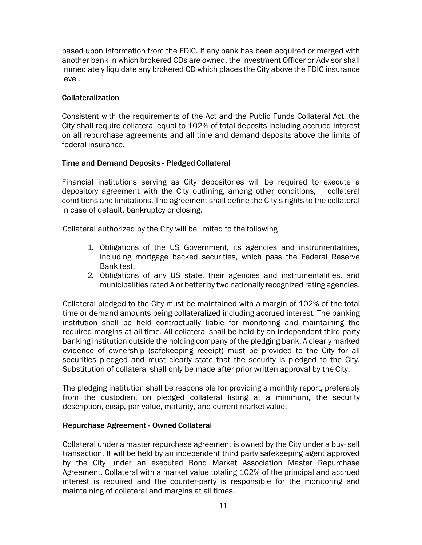based upon information from the FDIC. If any bank has been acquired or merged with another bank in which brokered CDs are owned, the Investment Officer or Advisor shall immediately liquidate any brokered CD which places the City above the FDIC insurance level.

#### Collateralization

Consistent with the requirements of the Act and the Public Funds Collateral Act, the City shall require collateral equal to 102% of total deposits including accrued interest on all repurchase agreements and all time and demand deposits above the limits of federal insurance.

#### Time and Demand Deposits - Pledged Collateral

Financial institutions serving as City depositories will be required to execute a depository agreement with the City outlining, among other conditions, collateral conditions and limitations. The agreement shall define the City's rights to the collateral in case of default, bankruptcy or closing,

Collateral authorized by the City will be limited to the following

- 1. Obligations of the US Government, its agencies and instrumentalities, including mortgage backed securities, which pass the Federal Reserve Bank test.
- 2. Obligations of any US state, their agencies and instrumentalities, and municipalities rated A or better by two nationally recognized rating agencies.

Collateral pledged to the City must be maintained with a margin of 102% of the total time or demand amounts being collateralized including accrued interest. The banking institution shall be held contractually liable for monitoring and maintaining the required margins at all time. All collateral shall be held by an independent third party banking institution outside the holding company of the pledging bank. A clearly marked evidence of ownership (safekeeping receipt) must be provided to the City for all securities pledged and must clearly state that the security is pledged to the City. Substitution of collateral shall only be made after prior written approval by the City.

The pledging institution shall be responsible for providing a monthly report, preferably from the custodian, on pledged collateral listing at a minimum, the security description, cusip, par value, maturity, and current market value.

#### Repurchase Agreement - Owned Collateral

Collateral under a master repurchase agreement is owned by the City under a buy- sell transaction. It will be held by an independent third party safekeeping agent approved by the City under an executed Bond Market Association Master Repurchase Agreement. Collateral with a market value totaling 102% of the principal and accrued interest is required and the counter-party is responsible for the monitoring and maintaining of collateral and margins at all times.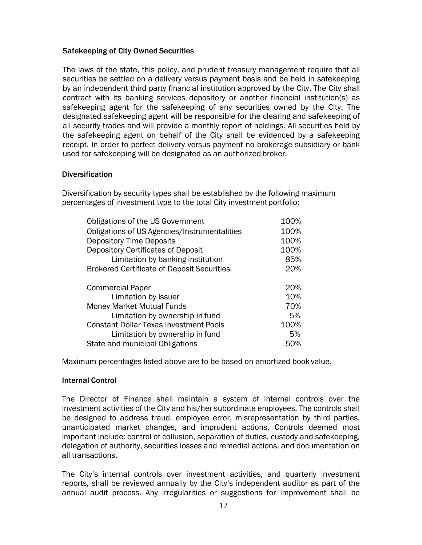#### Safekeeping of City Owned Securities

The laws of the state, this policy, and prudent treasury management require that all securities be settled on a delivery versus payment basis and be held in safekeeping by an independent third party financial institution approved by the City. The City shall contract with its banking services depository or another financial institution(s) as safekeeping agent for the safekeeping of any securities owned by the City. The designated safekeeping agent will be responsible for the clearing and safekeeping of all security trades and will provide a monthly report of holdings. All securities held by the safekeeping agent on behalf of the City shall be evidenced by a safekeeping receipt. In order to perfect delivery versus payment no brokerage subsidiary or bank used for safekeeping will be designated as an authorized broker.

#### **Diversification**

Diversification by security types shall be established by the following maximum percentages of investment type to the total City investment portfolio:

| Obligations of the US Government                  | 100% |
|---------------------------------------------------|------|
| Obligations of US Agencies/Instrumentalities      | 100% |
| <b>Depository Time Deposits</b>                   | 100% |
| Depository Certificates of Deposit                | 100% |
| Limitation by banking institution                 | 85%  |
| <b>Brokered Certificate of Deposit Securities</b> | 20%  |
| <b>Commercial Paper</b>                           | 20%  |
| Limitation by Issuer                              | 10%  |
| <b>Money Market Mutual Funds</b>                  | 70%  |
| Limitation by ownership in fund                   | 5%   |
| <b>Constant Dollar Texas Investment Pools</b>     | 100% |
| Limitation by ownership in fund                   | 5%   |
| State and municipal Obligations                   | 50%  |

Maximum percentages listed above are to be based on amortized book value.

#### Internal Control

The Director of Finance shall maintain a system of internal controls over the investment activities of the City and his/her subordinate employees. The controls shall be designed to address fraud, employee error, misrepresentation by third parties, unanticipated market changes, and imprudent actions. Controls deemed most important include: control of collusion, separation of duties, custody and safekeeping, delegation of authority, securities losses and remedial actions, and documentation on all transactions.

The City's internal controls over investment activities, and quarterly investment reports, shall be reviewed annually by the City's independent auditor as part of the annual audit process. Any irregularities or suggestions for improvement shall be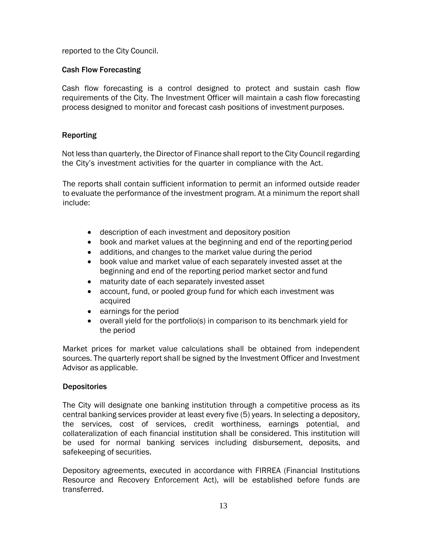reported to the City Council.

#### Cash Flow Forecasting

Cash flow forecasting is a control designed to protect and sustain cash flow requirements of the City. The Investment Officer will maintain a cash flow forecasting process designed to monitor and forecast cash positions of investment purposes.

#### Reporting

Not less than quarterly, the Director of Finance shall report to the City Council regarding the City's investment activities for the quarter in compliance with the Act.

The reports shall contain sufficient information to permit an informed outside reader to evaluate the performance of the investment program. At a minimum the report shall include:

- description of each investment and depository position
- book and market values at the beginning and end of the reporting period
- additions, and changes to the market value during the period
- book value and market value of each separately invested asset at the beginning and end of the reporting period market sector and fund
- maturity date of each separately invested asset
- account, fund, or pooled group fund for which each investment was acquired
- earnings for the period
- overall yield for the portfolio(s) in comparison to its benchmark yield for the period

Market prices for market value calculations shall be obtained from independent sources. The quarterly report shall be signed by the Investment Officer and Investment Advisor as applicable.

#### **Depositories**

The City will designate one banking institution through a competitive process as its central banking services provider at least every five (5) years. In selecting a depository, the services, cost of services, credit worthiness, earnings potential, and collateralization of each financial institution shall be considered. This institution will be used for normal banking services including disbursement, deposits, and safekeeping of securities.

Depository agreements, executed in accordance with FIRREA (Financial Institutions Resource and Recovery Enforcement Act), will be established before funds are transferred.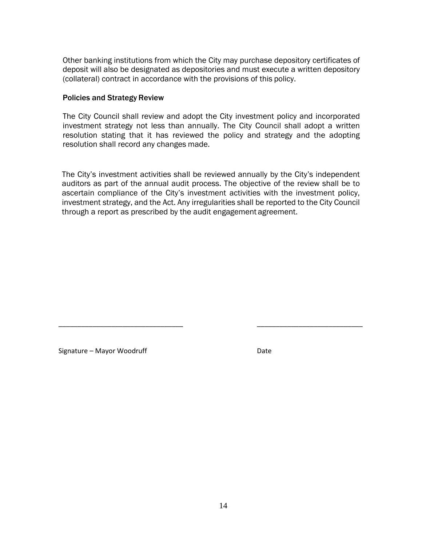Other banking institutions from which the City may purchase depository certificates of deposit will also be designated as depositories and must execute a written depository (collateral) contract in accordance with the provisions of this policy.

#### Policies and Strategy Review

The City Council shall review and adopt the City investment policy and incorporated investment strategy not less than annually. The City Council shall adopt a written resolution stating that it has reviewed the policy and strategy and the adopting resolution shall record any changes made.

The City's investment activities shall be reviewed annually by the City's independent auditors as part of the annual audit process. The objective of the review shall be to ascertain compliance of the City's investment activities with the investment policy, investment strategy, and the Act. Any irregularities shall be reported to the City Council through a report as prescribed by the audit engagement agreement.

\_\_\_\_\_\_\_\_\_\_\_\_\_\_\_\_\_\_\_\_\_\_\_\_\_\_\_\_\_\_\_\_\_ \_\_\_\_\_\_\_\_\_\_\_\_\_\_\_\_\_\_\_\_\_\_\_\_\_\_\_\_

Signature – Mayor Woodruff Date Date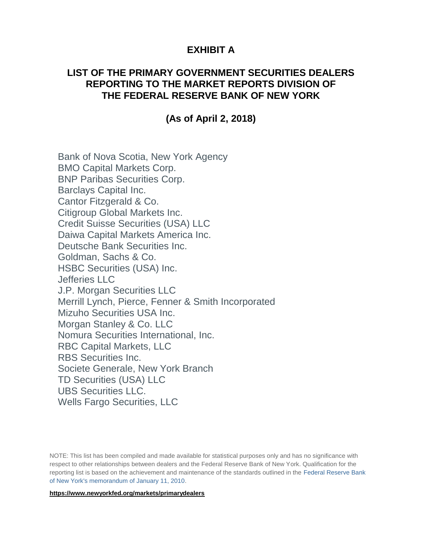# **EXHIBIT A**

### **LIST OF THE PRIMARY GOVERNMENT SECURITIES DEALERS REPORTING TO THE MARKET REPORTS DIVISION OF THE FEDERAL RESERVE BANK OF NEW YORK**

## **(As of April 2, 2018)**

Bank of Nova Scotia, New York Agency BMO Capital Markets Corp. BNP Paribas Securities Corp. Barclays Capital Inc. Cantor Fitzgerald & Co. Citigroup Global Markets Inc. Credit Suisse Securities (USA) LLC Daiwa Capital Markets America Inc. Deutsche Bank Securities Inc. Goldman, Sachs & Co. HSBC Securities (USA) Inc. Jefferies LLC J.P. Morgan Securities LLC Merrill Lynch, Pierce, Fenner & Smith Incorporated Mizuho Securities USA Inc. Morgan Stanley & Co. LLC Nomura Securities International, Inc. RBC Capital Markets, LLC RBS Securities Inc. Societe Generale, New York Branch TD Securities (USA) LLC UBS Securities LLC. Wells Fargo Securities, LLC

NOTE: This list has been compiled and made available for statistical purposes only and has no significance with respect to other relationships between dealers and the Federal Reserve Bank of New York. Qualification for the reporting list is based on the achievement and maintenance of the standards outlined in the [Federal Reserve Bank](http://www.ny.frb.org/markets/pridealers_policies.html)  [of New York's memorandum of January 11, 2010.](http://www.ny.frb.org/markets/pridealers_policies.html)

**https://www.newyorkfed.org/markets/primarydealers**